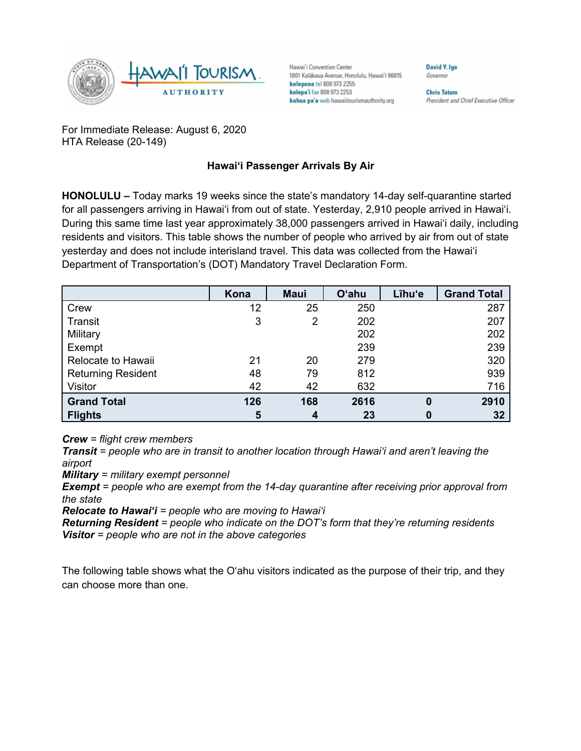

Hawai'i Convention Center 1801 Kalākaua Avenue, Honolulu, Hawai'i 96815 kelepona tel 808 973 2255 kelepa'i fax 808 973 2253 kahua pa'a web hawaiitourismauthority.org

David Y. Ige Governor

**Chris Tatum** President and Chief Executive Officer

For Immediate Release: August 6, 2020 HTA Release (20-149)

## **Hawai'i Passenger Arrivals By Air**

**HONOLULU –** Today marks 19 weeks since the state's mandatory 14-day self-quarantine started for all passengers arriving in Hawai'i from out of state. Yesterday, 2,910 people arrived in Hawai'i. During this same time last year approximately 38,000 passengers arrived in Hawai'i daily, including residents and visitors. This table shows the number of people who arrived by air from out of state yesterday and does not include interisland travel. This data was collected from the Hawai'i Department of Transportation's (DOT) Mandatory Travel Declaration Form.

|                           | Kona | <b>Maui</b> | <b>O'ahu</b> | Līhu'e   | <b>Grand Total</b> |
|---------------------------|------|-------------|--------------|----------|--------------------|
| Crew                      | 12   | 25          | 250          |          | 287                |
| Transit                   | 3    | 2           | 202          |          | 207                |
| Military                  |      |             | 202          |          | 202                |
| Exempt                    |      |             | 239          |          | 239                |
| Relocate to Hawaii        | 21   | 20          | 279          |          | 320                |
| <b>Returning Resident</b> | 48   | 79          | 812          |          | 939                |
| Visitor                   | 42   | 42          | 632          |          | 716                |
| <b>Grand Total</b>        | 126  | 168         | 2616         | $\bf{0}$ | 2910               |
| <b>Flights</b>            | 5    | 4           | 23           | 0        | 32                 |

*Crew = flight crew members*

*Transit = people who are in transit to another location through Hawai'i and aren't leaving the airport*

*Military = military exempt personnel*

*Exempt = people who are exempt from the 14-day quarantine after receiving prior approval from the state*

*Relocate to Hawai'i = people who are moving to Hawai'i*

*Returning Resident = people who indicate on the DOT's form that they're returning residents Visitor = people who are not in the above categories*

The following table shows what the O'ahu visitors indicated as the purpose of their trip, and they can choose more than one.